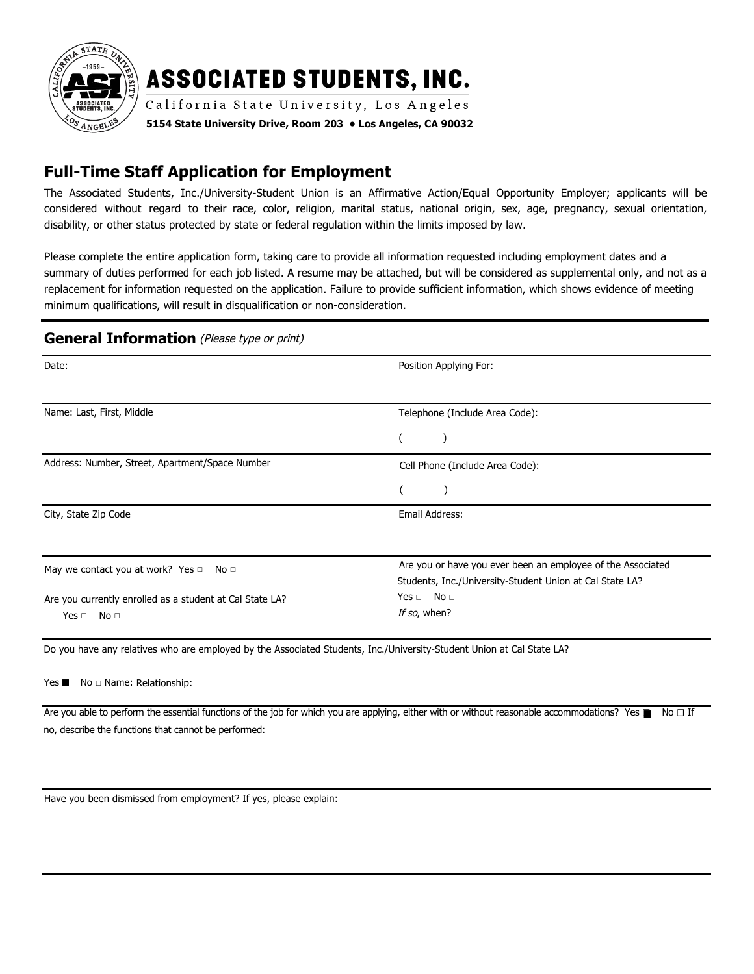

# **ASSOCIATED STUDENTS, INC.**

California State University, Los Angeles

**5154 State University Drive, Room 203 • Los Angeles, CA 90032** 

# **Full-Time Staff Application for Employment**

The Associated Students, Inc./University-Student Union is an Affirmative Action/Equal Opportunity Employer; applicants will be considered without regard to their race, color, religion, marital status, national origin, sex, age, pregnancy, sexual orientation, disability, or other status protected by state or federal regulation within the limits imposed by law.

Please complete the entire application form, taking care to provide all information requested including employment dates and a summary of duties performed for each job listed. A resume may be attached, but will be considered as supplemental only, and not as a replacement for information requested on the application. Failure to provide sufficient information, which shows evidence of meeting minimum qualifications, will result in disqualification or non-consideration.

#### **General Information** (Please type or print)

| Date:                                                     | Position Applying For:                                      |  |
|-----------------------------------------------------------|-------------------------------------------------------------|--|
|                                                           |                                                             |  |
| Name: Last, First, Middle                                 | Telephone (Include Area Code):                              |  |
|                                                           |                                                             |  |
| Address: Number, Street, Apartment/Space Number           | Cell Phone (Include Area Code):                             |  |
|                                                           |                                                             |  |
| City, State Zip Code                                      | Email Address:                                              |  |
|                                                           |                                                             |  |
| May we contact you at work? Yes $\Box$<br>No <sub>1</sub> | Are you or have you ever been an employee of the Associated |  |
|                                                           | Students, Inc./University-Student Union at Cal State LA?    |  |
| Are you currently enrolled as a student at Cal State LA?  | Yes $\Box$ No $\Box$                                        |  |
| No <sub>1</sub><br>Yes $\Box$                             | If so, when?                                                |  |
|                                                           |                                                             |  |

Do you have any relatives who are employed by the Associated Students, Inc./University-Student Union at Cal State LA?

Yes ■ No □ Name: Relationship:

Are you able to perform the essential functions of the job for which you are applying, either with or without reasonable accommodations? Yes  $\blacksquare$  No  $\Box$  If no, describe the functions that cannot be performed:

Have you been dismissed from employment? If yes, please explain: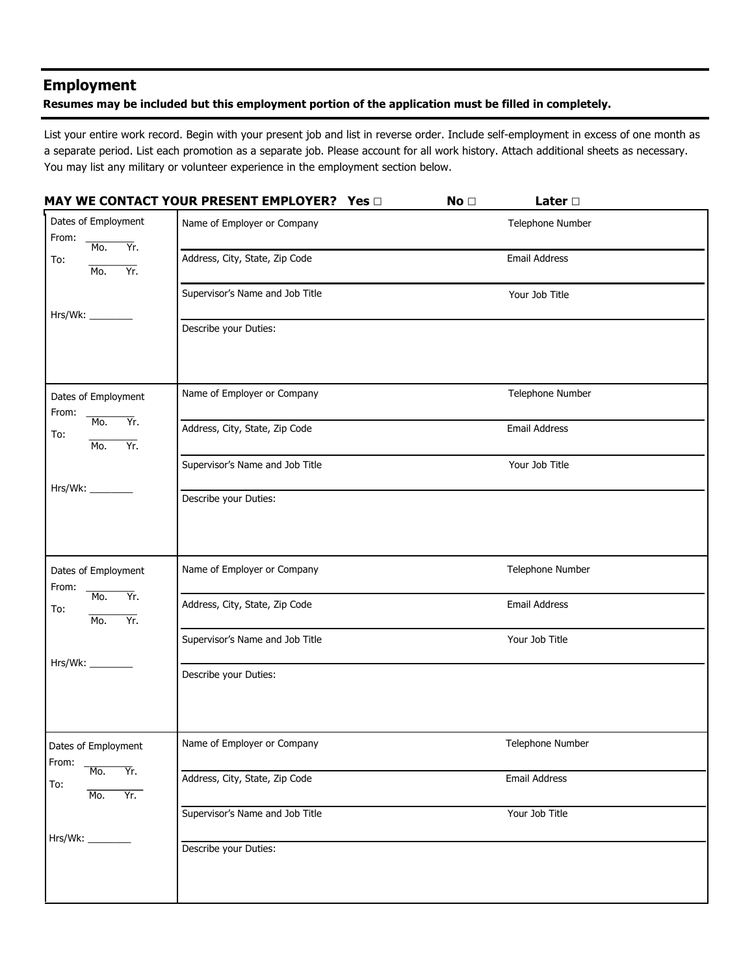## **Employment**

#### **Resumes may be included but this employment portion of the application must be filled in completely.**

List your entire work record. Begin with your present job and list in reverse order. Include self-employment in excess of one month as a separate period. List each promotion as a separate job. Please account for all work history. Attach additional sheets as necessary. You may list any military or volunteer experience in the employment section below.

|                                             | <b>MAY WE CONTACT YOUR PRESENT EMPLOYER?</b> Yes D | No <sub>1</sub> | Later $\square$      |
|---------------------------------------------|----------------------------------------------------|-----------------|----------------------|
| Dates of Employment<br>From:<br>Mo.<br>Yr.  | Name of Employer or Company                        |                 | Telephone Number     |
| To:<br>Yr.<br>M <sub>0</sub>                | Address, City, State, Zip Code                     |                 | Email Address        |
| Hrs/Wk: ________                            | Supervisor's Name and Job Title                    |                 | Your Job Title       |
|                                             | Describe your Duties:                              |                 |                      |
| Dates of Employment<br>From:                | Name of Employer or Company                        |                 | Telephone Number     |
| Yr.<br>Mo.<br>To:<br>Yr.<br>M <sub>0</sub>  | Address, City, State, Zip Code                     |                 | Email Address        |
| Hrs/Wk: _________                           | Supervisor's Name and Job Title                    |                 | Your Job Title       |
|                                             | Describe your Duties:                              |                 |                      |
| Dates of Employment<br>From:                | Name of Employer or Company                        |                 | Telephone Number     |
| Mo.<br>Yr.<br>To:<br>Yr.<br>Mo.             | Address, City, State, Zip Code                     |                 | <b>Email Address</b> |
| Hrs/Wk: _________                           | Supervisor's Name and Job Title                    |                 | Your Job Title       |
|                                             | Describe your Duties:                              |                 |                      |
| Dates of Employment<br>From:                | Name of Employer or Company                        |                 | Telephone Number     |
| Ϋ́r.<br>Mo.<br>To:<br>Yr.<br>M <sub>0</sub> | Address, City, State, Zip Code                     |                 | Email Address        |
| Hrs/Wk:                                     | Supervisor's Name and Job Title                    |                 | Your Job Title       |
|                                             | Describe your Duties:                              |                 |                      |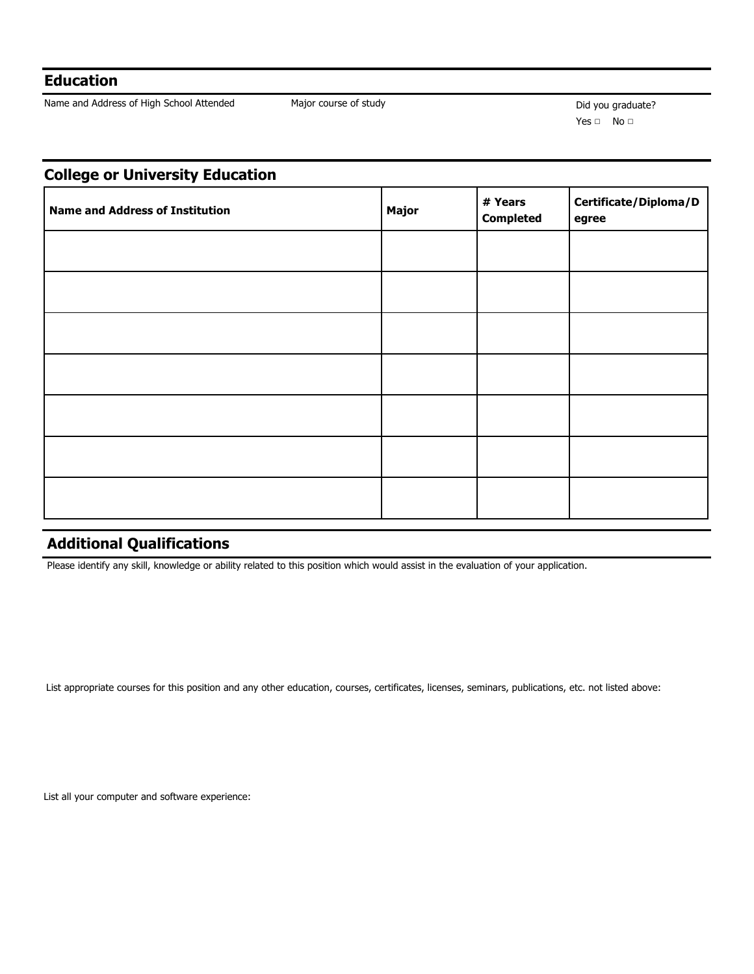## **Education**

Name and Address of High School Attended Major course of study Major course of study Did you graduate?

Yes □ No □

## **College or University Education**

| <b>Name and Address of Institution</b> | Major | # Years<br><b>Completed</b> | Certificate/Diploma/D<br>egree |
|----------------------------------------|-------|-----------------------------|--------------------------------|
|                                        |       |                             |                                |
|                                        |       |                             |                                |
|                                        |       |                             |                                |
|                                        |       |                             |                                |
|                                        |       |                             |                                |
|                                        |       |                             |                                |
|                                        |       |                             |                                |

# **Additional Qualifications**

Please identify any skill, knowledge or ability related to this position which would assist in the evaluation of your application.

List appropriate courses for this position and any other education, courses, certificates, licenses, seminars, publications, etc. not listed above:

List all your computer and software experience: